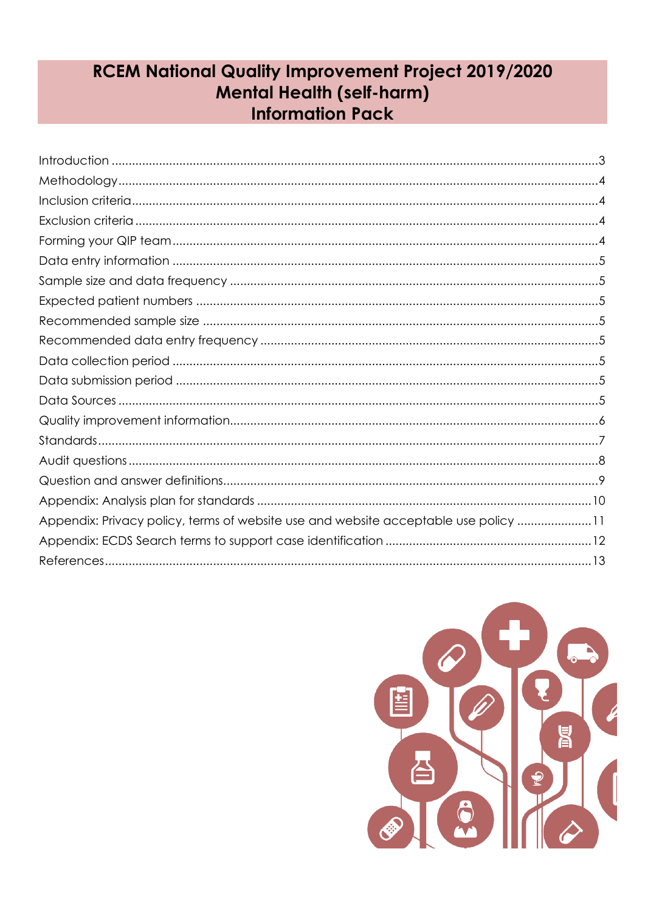# **RCEM National Quality Improvement Project 2019/2020 Mental Health (self-harm) Information Pack**

| Appendix: Privacy policy, terms of website use and website acceptable use policy 11 |
|-------------------------------------------------------------------------------------|
|                                                                                     |
|                                                                                     |

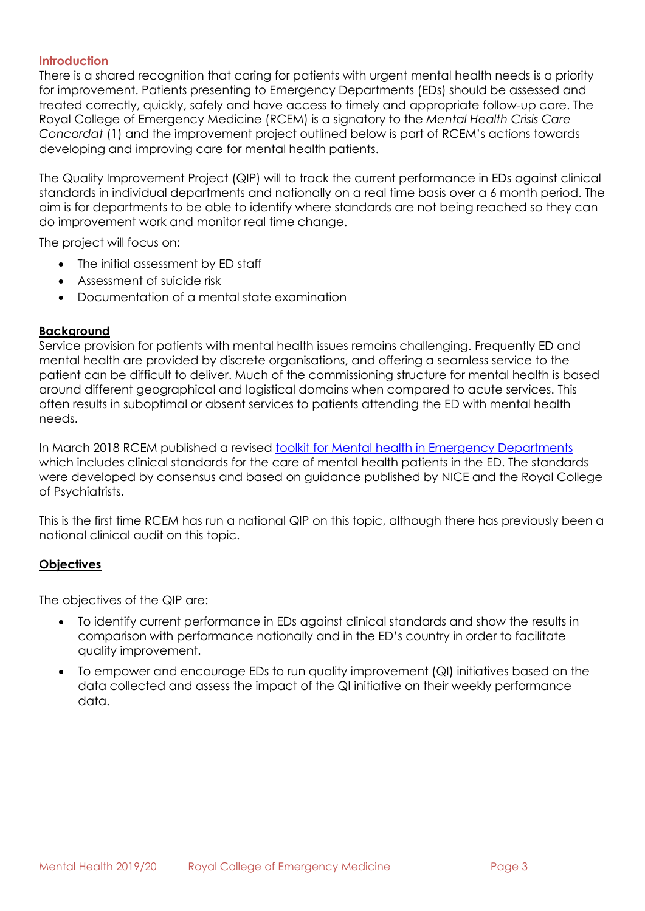### <span id="page-1-0"></span>**Introduction**

There is a shared recognition that caring for patients with urgent mental health needs is a priority for improvement. Patients presenting to Emergency Departments (EDs) should be assessed and treated correctly, quickly, safely and have access to timely and appropriate follow-up care. The Royal College of Emergency Medicine (RCEM) is a signatory to the *Mental Health Crisis Care Concordat* (1) and the improvement project outlined below is part of RCEM's actions towards developing and improving care for mental health patients.

The Quality Improvement Project (QIP) will to track the current performance in EDs against clinical standards in individual departments and nationally on a real time basis over a 6 month period. The aim is for departments to be able to identify where standards are not being reached so they can do improvement work and monitor real time change.

The project will focus on:

- The initial assessment by ED staff
- Assessment of suicide risk
- Documentation of a mental state examination

# **Background**

Service provision for patients with mental health issues remains challenging. Frequently ED and mental health are provided by discrete organisations, and offering a seamless service to the patient can be difficult to deliver. Much of the commissioning structure for mental health is based around different geographical and logistical domains when compared to acute services. This often results in suboptimal or absent services to patients attending the ED with mental health needs.

In March 2018 RCEM published a revised [toolkit for Mental health in Emergency Departments](https://www.rcem.ac.uk/RCEM/Quality-Policy/Clinical_Standards_Guidance/RCEM_Guidance.aspx?WebsiteKey=b3d6bb2a-abba-44ed-b758-467776a958cd&hkey=862bd964-0363-4f7f-bdab-89e4a68c9de4&RCEM_Guidance=4#RCEM_Guidance) which includes clinical standards for the care of mental health patients in the ED. The standards were developed by consensus and based on guidance published by NICE and the Royal College of Psychiatrists.

This is the first time RCEM has run a national QIP on this topic, although there has previously been a national clinical audit on this topic.

# **Objectives**

The objectives of the QIP are:

- To identify current performance in EDs against clinical standards and show the results in comparison with performance nationally and in the ED's country in order to facilitate quality improvement.
- To empower and encourage EDs to run quality improvement (QI) initiatives based on the data collected and assess the impact of the QI initiative on their weekly performance data.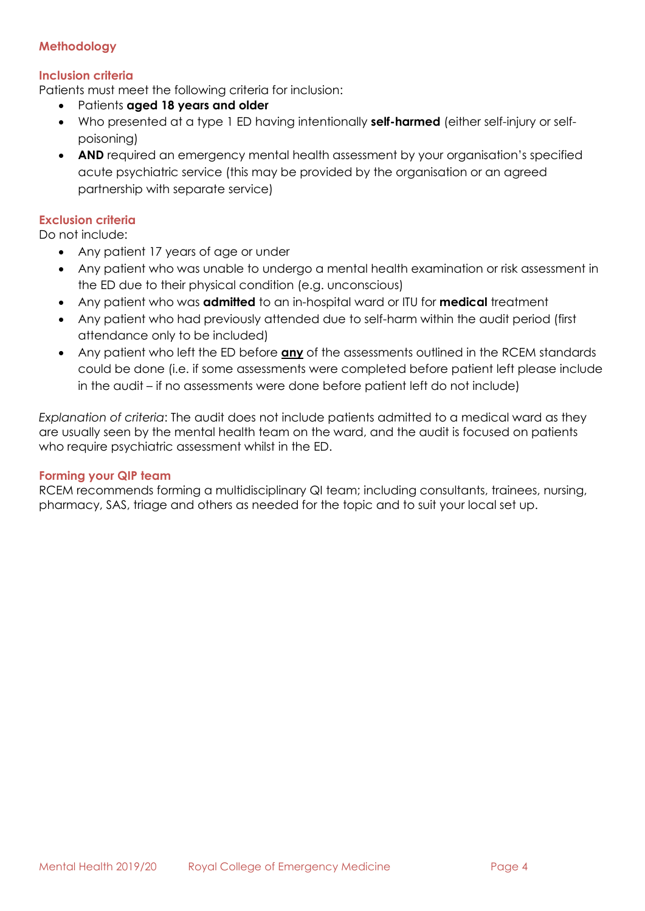# <span id="page-2-0"></span>**Methodology**

# <span id="page-2-1"></span>**Inclusion criteria**

Patients must meet the following criteria for inclusion:

- Patients **aged 18 years and older**
- Who presented at a type 1 ED having intentionally **self-harmed** (either self-injury or selfpoisoning)
- **AND** required an emergency mental health assessment by your organisation's specified acute psychiatric service (this may be provided by the organisation or an agreed partnership with separate service)

## <span id="page-2-2"></span>**Exclusion criteria**

Do not include:

- Any patient 17 years of age or under
- Any patient who was unable to undergo a mental health examination or risk assessment in the ED due to their physical condition (e.g. unconscious)
- Any patient who was **admitted** to an in-hospital ward or ITU for **medical** treatment
- Any patient who had previously attended due to self-harm within the audit period (first attendance only to be included)
- Any patient who left the ED before **any** of the assessments outlined in the RCEM standards could be done (i.e. if some assessments were completed before patient left please include in the audit – if no assessments were done before patient left do not include)

*Explanation of criteria*: The audit does not include patients admitted to a medical ward as they are usually seen by the mental health team on the ward, and the audit is focused on patients who require psychiatric assessment whilst in the ED.

### <span id="page-2-3"></span>**Forming your QIP team**

RCEM recommends forming a multidisciplinary QI team; including consultants, trainees, nursing, pharmacy, SAS, triage and others as needed for the topic and to suit your local set up.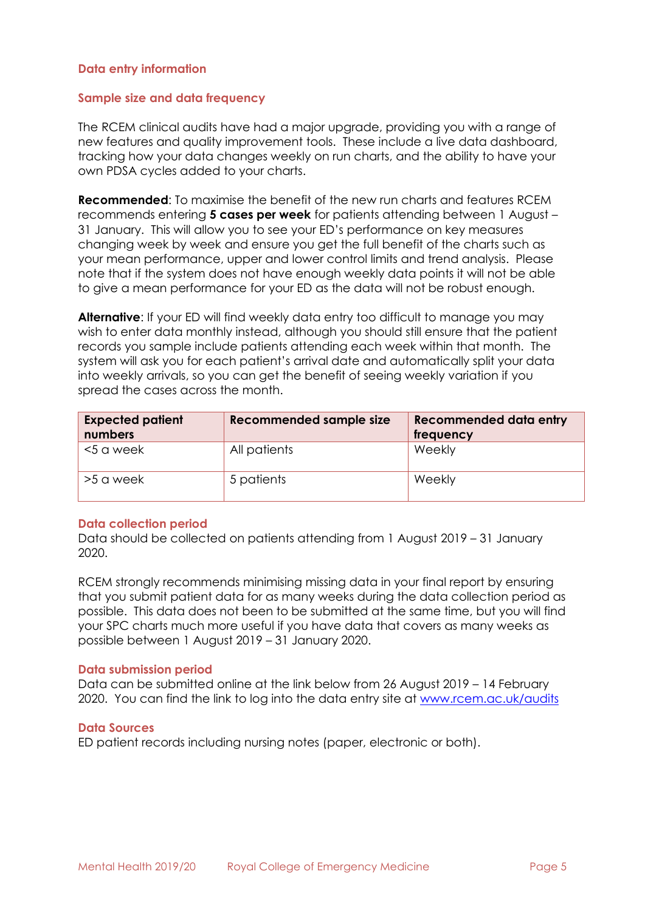### <span id="page-3-0"></span>**Data entry information**

### <span id="page-3-1"></span>**Sample size and data frequency**

The RCEM clinical audits have had a major upgrade, providing you with a range of new features and quality improvement tools. These include a live data dashboard, tracking how your data changes weekly on run charts, and the ability to have your own PDSA cycles added to your charts.

**Recommended**: To maximise the benefit of the new run charts and features RCEM recommends entering **5 cases per week** for patients attending between 1 August – 31 January. This will allow you to see your ED's performance on key measures changing week by week and ensure you get the full benefit of the charts such as your mean performance, upper and lower control limits and trend analysis. Please note that if the system does not have enough weekly data points it will not be able to give a mean performance for your ED as the data will not be robust enough.

**Alternative**: If your ED will find weekly data entry too difficult to manage you may wish to enter data monthly instead, although you should still ensure that the patient records you sample include patients attending each week within that month. The system will ask you for each patient's arrival date and automatically split your data into weekly arrivals, so you can get the benefit of seeing weekly variation if you spread the cases across the month.

<span id="page-3-4"></span><span id="page-3-3"></span><span id="page-3-2"></span>

| <b>Expected patient</b><br>numbers | <b>Recommended sample size</b> | Recommended data entry<br>frequency |
|------------------------------------|--------------------------------|-------------------------------------|
| <5 a week                          | All patients                   | Weekly                              |
| >5 a week                          | 5 patients                     | Weekly                              |

### <span id="page-3-5"></span>**Data collection period**

Data should be collected on patients attending from 1 August 2019 – 31 January 2020.

RCEM strongly recommends minimising missing data in your final report by ensuring that you submit patient data for as many weeks during the data collection period as possible. This data does not been to be submitted at the same time, but you will find your SPC charts much more useful if you have data that covers as many weeks as possible between 1 August 2019 – 31 January 2020.

#### <span id="page-3-6"></span>**Data submission period**

Data can be submitted online at the link below from 26 August 2019 – 14 February 2020. You can find the link to log into the data entry site at www.rcem.ac.uk/audits

#### <span id="page-3-7"></span>**Data Sources**

ED patient records including nursing notes (paper, electronic or both).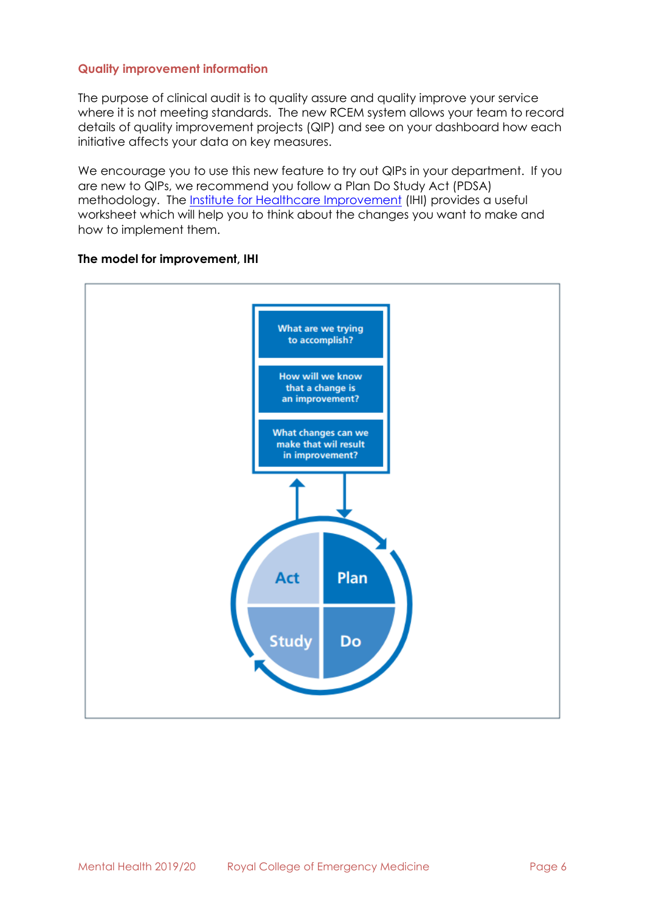## <span id="page-4-0"></span>**Quality improvement information**

The purpose of clinical audit is to quality assure and quality improve your service where it is not meeting standards. The new RCEM system allows your team to record details of quality improvement projects (QIP) and see on your dashboard how each initiative affects your data on key measures.

We encourage you to use this new feature to try out QIPs in your department. If you are new to QIPs, we recommend you follow a Plan Do Study Act (PDSA) methodology. The [Institute for Healthcare Improvement](http://www.ihi.org/resources/Pages/Tools/PlanDoStudyActWorksheet.aspx) (IHI) provides a useful worksheet which will help you to think about the changes you want to make and how to implement them.



### **The model for improvement, IHI**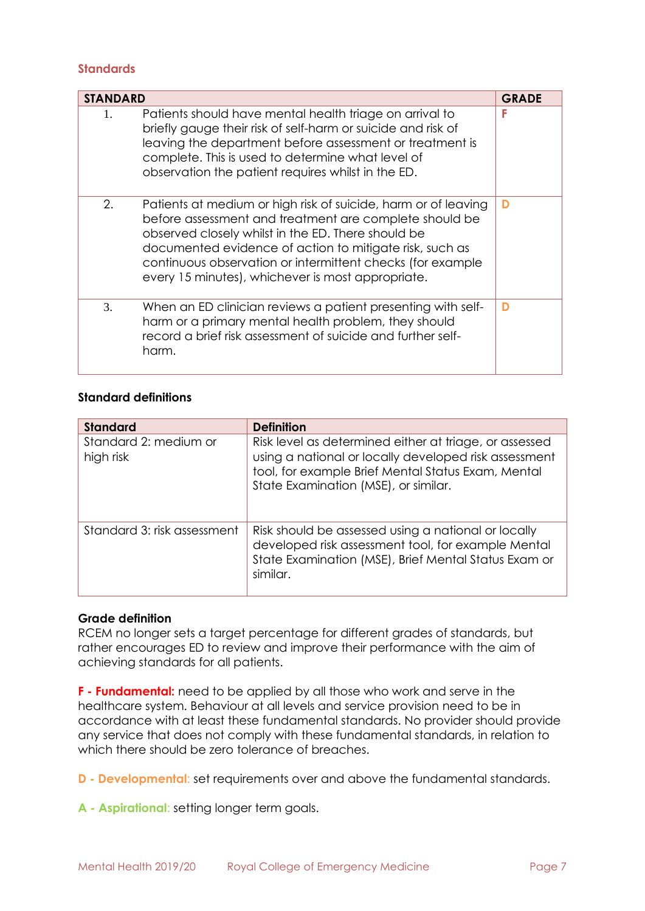### <span id="page-5-0"></span>**Standards**

| <b>STANDARD</b> |                                                                                                                                                                                                                                                                                                                                                              | <b>GRADE</b> |
|-----------------|--------------------------------------------------------------------------------------------------------------------------------------------------------------------------------------------------------------------------------------------------------------------------------------------------------------------------------------------------------------|--------------|
| 1.              | Patients should have mental health triage on arrival to<br>briefly gauge their risk of self-harm or suicide and risk of<br>leaving the department before assessment or treatment is<br>complete. This is used to determine what level of<br>observation the patient requires whilst in the ED.                                                               | F            |
| 2.              | Patients at medium or high risk of suicide, harm or of leaving<br>before assessment and treatment are complete should be<br>observed closely whilst in the ED. There should be<br>documented evidence of action to mitigate risk, such as<br>continuous observation or intermittent checks (for example<br>every 15 minutes), whichever is most appropriate. | D            |
| 3.              | When an ED clinician reviews a patient presenting with self-<br>harm or a primary mental health problem, they should<br>record a brief risk assessment of suicide and further self-<br>harm.                                                                                                                                                                 | D            |

# **Standard definitions**

| <b>Standard</b>                    | <b>Definition</b>                                                                                                                                                                                             |
|------------------------------------|---------------------------------------------------------------------------------------------------------------------------------------------------------------------------------------------------------------|
| Standard 2: medium or<br>high risk | Risk level as determined either at triage, or assessed<br>using a national or locally developed risk assessment<br>tool, for example Brief Mental Status Exam, Mental<br>State Examination (MSE), or similar. |
| Standard 3: risk assessment        | Risk should be assessed using a national or locally<br>developed risk assessment tool, for example Mental<br>State Examination (MSE), Brief Mental Status Exam or<br>similar.                                 |

### **Grade definition**

RCEM no longer sets a target percentage for different grades of standards, but rather encourages ED to review and improve their performance with the aim of achieving standards for all patients.

**F - Fundamental:** need to be applied by all those who work and serve in the healthcare system. Behaviour at all levels and service provision need to be in accordance with at least these fundamental standards. No provider should provide any service that does not comply with these fundamental standards, in relation to which there should be zero tolerance of breaches.

**D - Developmental**: set requirements over and above the fundamental standards.

**A - Aspirational**: setting longer term goals.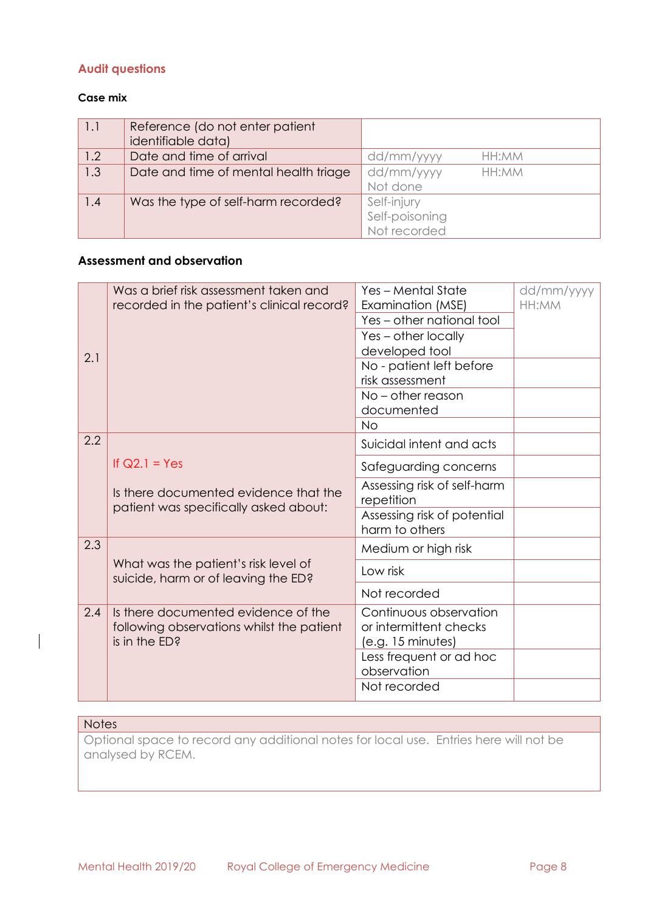# <span id="page-6-0"></span>**Audit questions**

### **Case mix**

| 1.1 | Reference (do not enter patient<br>identifiable data) |                     |
|-----|-------------------------------------------------------|---------------------|
| 1.2 | Date and time of arrival                              | dd/mm/yyyy<br>HH:MM |
| 1.3 | Date and time of mental health triage                 | dd/mm/yyyy<br>HH:MM |
|     |                                                       | Not done            |
| 1.4 | Was the type of self-harm recorded?                   | Self-injury         |
|     |                                                       | Self-poisoning      |
|     |                                                       | Not recorded        |

# **Assessment and observation**

| 2.1 | Was a brief risk assessment taken and<br>recorded in the patient's clinical record?               | Yes - Mental State<br>Examination (MSE)<br>Yes - other national tool<br>Yes - other locally<br>developed tool<br>No - patient left before<br>risk assessment<br>No - other reason<br>documented | dd/mm/yyyy<br>HH:MM |
|-----|---------------------------------------------------------------------------------------------------|-------------------------------------------------------------------------------------------------------------------------------------------------------------------------------------------------|---------------------|
|     |                                                                                                   | <b>No</b>                                                                                                                                                                                       |                     |
| 2.2 |                                                                                                   | Suicidal intent and acts                                                                                                                                                                        |                     |
|     | If $Q2.1 = Yes$                                                                                   | Safeguarding concerns                                                                                                                                                                           |                     |
|     | Is there documented evidence that the<br>patient was specifically asked about:                    | Assessing risk of self-harm<br>repetition                                                                                                                                                       |                     |
|     |                                                                                                   | Assessing risk of potential<br>harm to others                                                                                                                                                   |                     |
| 2.3 |                                                                                                   | Medium or high risk                                                                                                                                                                             |                     |
|     | What was the patient's risk level of<br>suicide, harm or of leaving the ED?                       | Low risk                                                                                                                                                                                        |                     |
|     |                                                                                                   | Not recorded                                                                                                                                                                                    |                     |
| 2.4 | Is there documented evidence of the<br>following observations whilst the patient<br>is in the ED? | Continuous observation<br>or intermittent checks<br>(e.g. 15 minutes)                                                                                                                           |                     |
|     |                                                                                                   | Less frequent or ad hoc<br>observation                                                                                                                                                          |                     |
|     |                                                                                                   | Not recorded                                                                                                                                                                                    |                     |

#### **Notes**

Optional space to record any additional notes for local use. Entries here will not be analysed by RCEM.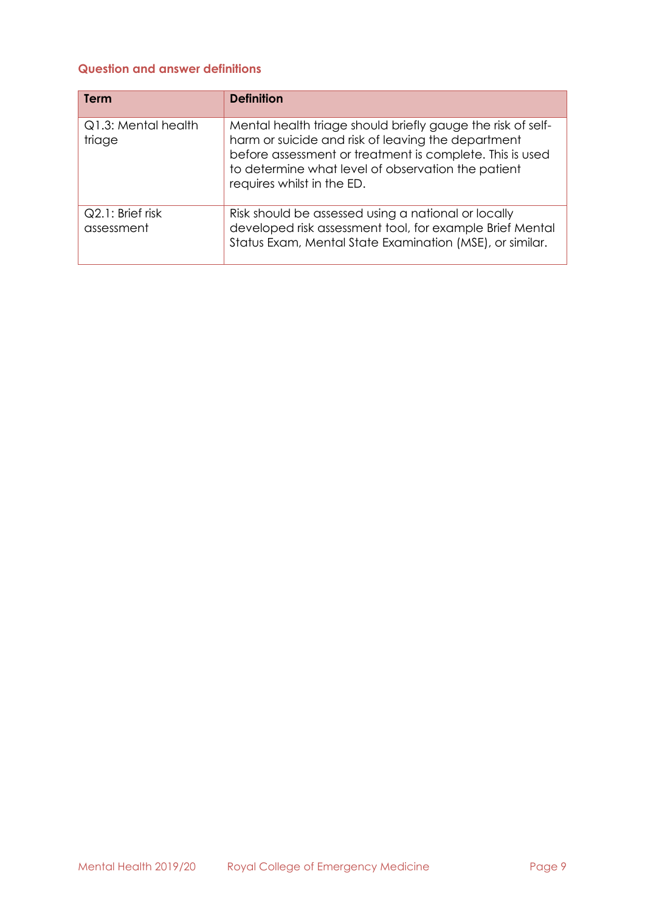# <span id="page-7-0"></span>**Question and answer definitions**

| Term                           | <b>Definition</b>                                                                                                                                                                                                                                                 |
|--------------------------------|-------------------------------------------------------------------------------------------------------------------------------------------------------------------------------------------------------------------------------------------------------------------|
| Q1.3: Mental health<br>triage  | Mental health triage should briefly gauge the risk of self-<br>harm or suicide and risk of leaving the department<br>before assessment or treatment is complete. This is used<br>to determine what level of observation the patient<br>requires whilst in the ED. |
| Q2.1: Brief risk<br>assessment | Risk should be assessed using a national or locally<br>developed risk assessment tool, for example Brief Mental<br>Status Exam, Mental State Examination (MSE), or similar.                                                                                       |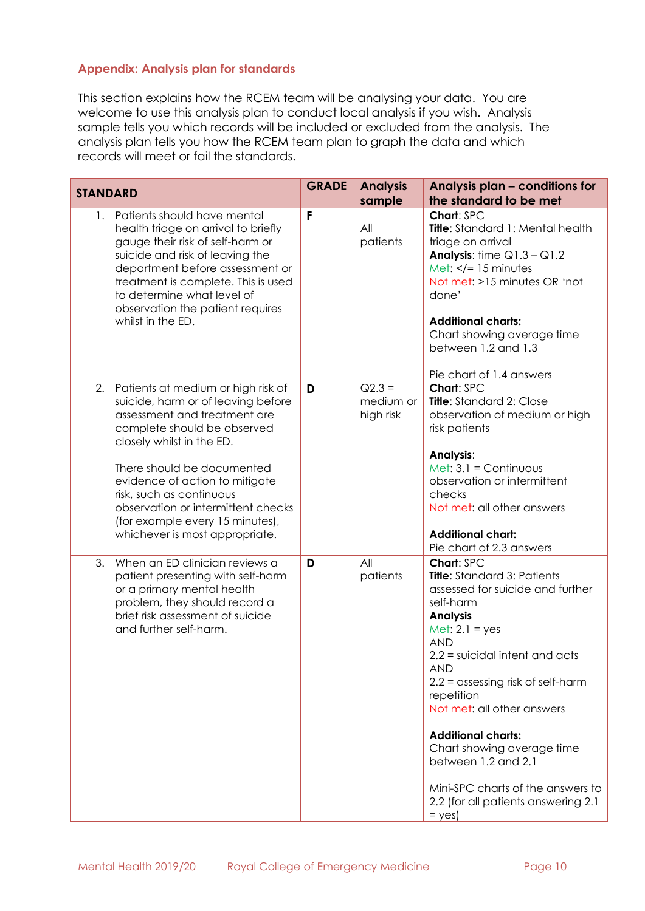## <span id="page-8-0"></span>**Appendix: Analysis plan for standards**

This section explains how the RCEM team will be analysing your data. You are welcome to use this analysis plan to conduct local analysis if you wish. Analysis sample tells you which records will be included or excluded from the analysis. The analysis plan tells you how the RCEM team plan to graph the data and which records will meet or fail the standards.

| <b>STANDARD</b>                                                                                                                                                                                                                                                                                                                                                                   | <b>GRADE</b> | <b>Analysis</b><br>sample          | Analysis plan - conditions for<br>the standard to be met                                                                                                                                                                                                                                                                                                                                                                                                              |
|-----------------------------------------------------------------------------------------------------------------------------------------------------------------------------------------------------------------------------------------------------------------------------------------------------------------------------------------------------------------------------------|--------------|------------------------------------|-----------------------------------------------------------------------------------------------------------------------------------------------------------------------------------------------------------------------------------------------------------------------------------------------------------------------------------------------------------------------------------------------------------------------------------------------------------------------|
| 1. Patients should have mental<br>health triage on arrival to briefly<br>gauge their risk of self-harm or<br>suicide and risk of leaving the<br>department before assessment or<br>treatment is complete. This is used<br>to determine what level of<br>observation the patient requires<br>whilst in the ED.                                                                     | F            | All<br>patients                    | Chart: SPC<br>Title: Standard 1: Mental health<br>triage on arrival<br><b>Analysis:</b> time $Q1.3 - Q1.2$<br>Met: $\lt/= 15$ minutes<br>Not met: >15 minutes OR 'not<br>done'<br><b>Additional charts:</b><br>Chart showing average time<br>between 1.2 and 1.3<br>Pie chart of 1.4 answers                                                                                                                                                                          |
| Patients at medium or high risk of<br>2.<br>suicide, harm or of leaving before<br>assessment and treatment are<br>complete should be observed<br>closely whilst in the ED.<br>There should be documented<br>evidence of action to mitigate<br>risk, such as continuous<br>observation or intermittent checks<br>(for example every 15 minutes),<br>whichever is most appropriate. | D            | $Q2.3 =$<br>medium or<br>high risk | Chart: SPC<br>Title: Standard 2: Close<br>observation of medium or high<br>risk patients<br>Analysis:<br>Met: $3.1 =$ Continuous<br>observation or intermittent<br>checks<br>Not met: all other answers<br><b>Additional chart:</b><br>Pie chart of 2.3 answers                                                                                                                                                                                                       |
| When an ED clinician reviews a<br>3.<br>patient presenting with self-harm<br>or a primary mental health<br>problem, they should record a<br>brief risk assessment of suicide<br>and further self-harm.                                                                                                                                                                            | D            | All<br>patients                    | Chart: SPC<br><b>Title:</b> Standard 3: Patients<br>assessed for suicide and further<br>self-harm<br><b>Analysis</b><br>Met: $2.1 = yes$<br><b>AND</b><br>$2.2$ = suicidal intent and acts<br><b>AND</b><br>$2.2 =$ assessing risk of self-harm<br>repetition<br>Not met: all other answers<br><b>Additional charts:</b><br>Chart showing average time<br>between 1.2 and 2.1<br>Mini-SPC charts of the answers to<br>2.2 (for all patients answering 2.1<br>$=$ yes) |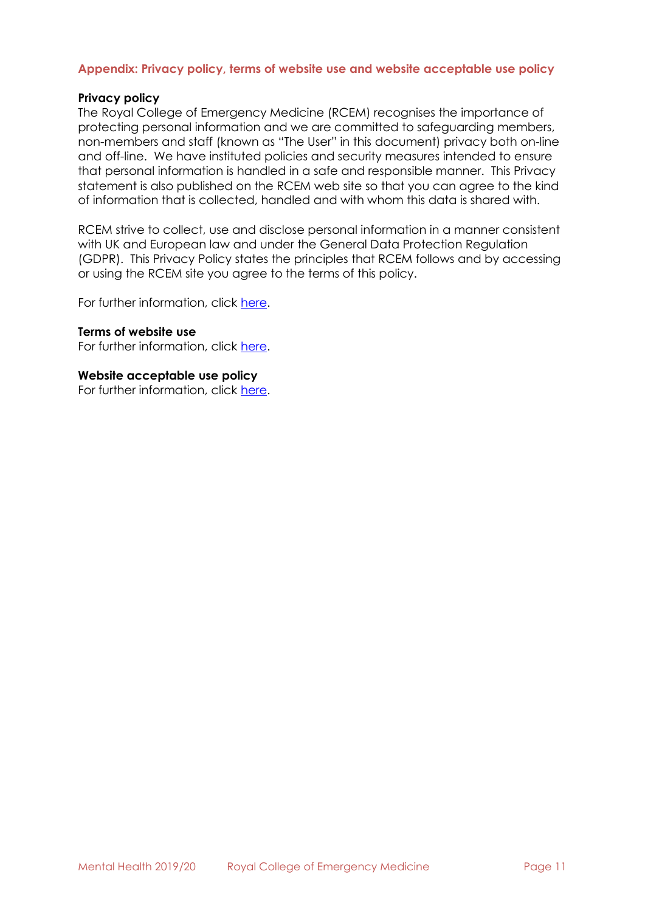### <span id="page-9-0"></span>**Appendix: Privacy policy, terms of website use and website acceptable use policy**

### **Privacy policy**

The Royal College of Emergency Medicine (RCEM) recognises the importance of protecting personal information and we are committed to safeguarding members, non-members and staff (known as "The User" in this document) privacy both on-line and off-line. We have instituted policies and security measures intended to ensure that personal information is handled in a safe and responsible manner. This Privacy statement is also published on the RCEM web site so that you can agree to the kind of information that is collected, handled and with whom this data is shared with.

RCEM strive to collect, use and disclose personal information in a manner consistent with UK and European law and under the General Data Protection Regulation (GDPR). This Privacy Policy states the principles that RCEM follows and by accessing or using the RCEM site you agree to the terms of this policy.

For further information, click [here.](https://www.rcem.ac.uk/RCEM/Privacy_Policy.aspx)

### **Terms of website use**

For further information, click [here.](https://www.rcem.ac.uk/RCEM/About/Terms_of_Website_Use/RCEM/Terms_of_Website_Use.aspx?hkey=9ab38bf9-1823-49c3-8958-c9359326a5e5)

### **Website acceptable use policy**

For further information, click [here.](https://www.rcem.ac.uk/RCEM/About/Website_Acceptable_Use_Policy/RCEM/Website_Acceptable_Use_Policy.aspx?hkey=6b837b58-b5d6-479b-8e47-68402254c275&WebsiteKey=b3d6bb2a-abba-44ed-b758-467776a958cd)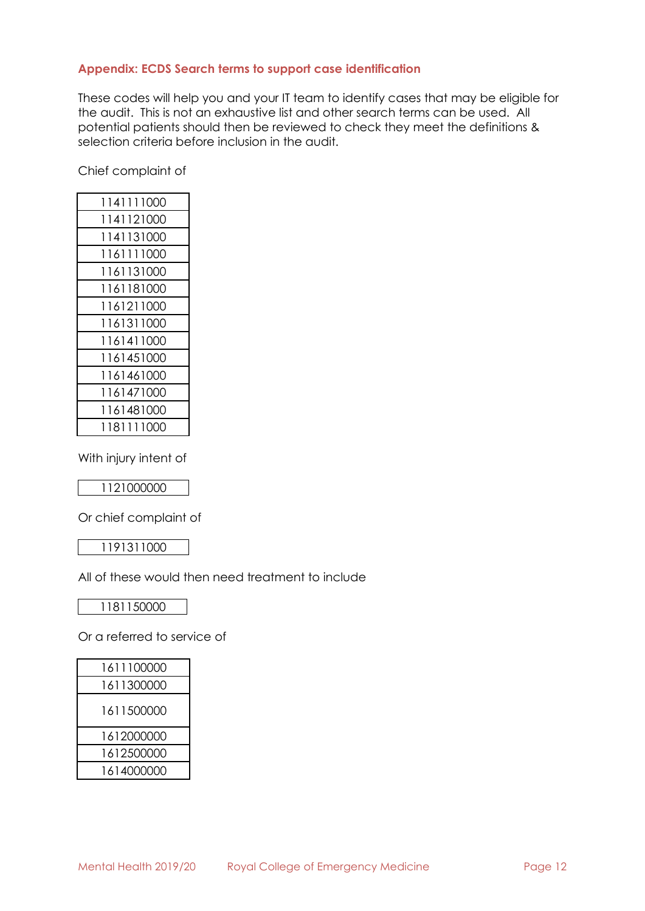# <span id="page-10-0"></span>**Appendix: ECDS Search terms to support case identification**

These codes will help you and your IT team to identify cases that may be eligible for the audit. This is not an exhaustive list and other search terms can be used. All potential patients should then be reviewed to check they meet the definitions & selection criteria before inclusion in the audit.

Chief complaint of

| 1141111000 |
|------------|
| 1141121000 |
| 1141131000 |
| 1161111000 |
| 1161131000 |
| 1161181000 |
| 1161211000 |
| 1161311000 |
| 1161411000 |
| 1161451000 |
| 1161461000 |
| 1161471000 |
| 1161481000 |
| 1181111000 |

With injury intent of

Or chief complaint of

All of these would then need treatment to include

Or a referred to service of

| 1611100000 |
|------------|
| 1611300000 |
| 1611500000 |
| 1612000000 |
| 1612500000 |
| 1614000000 |